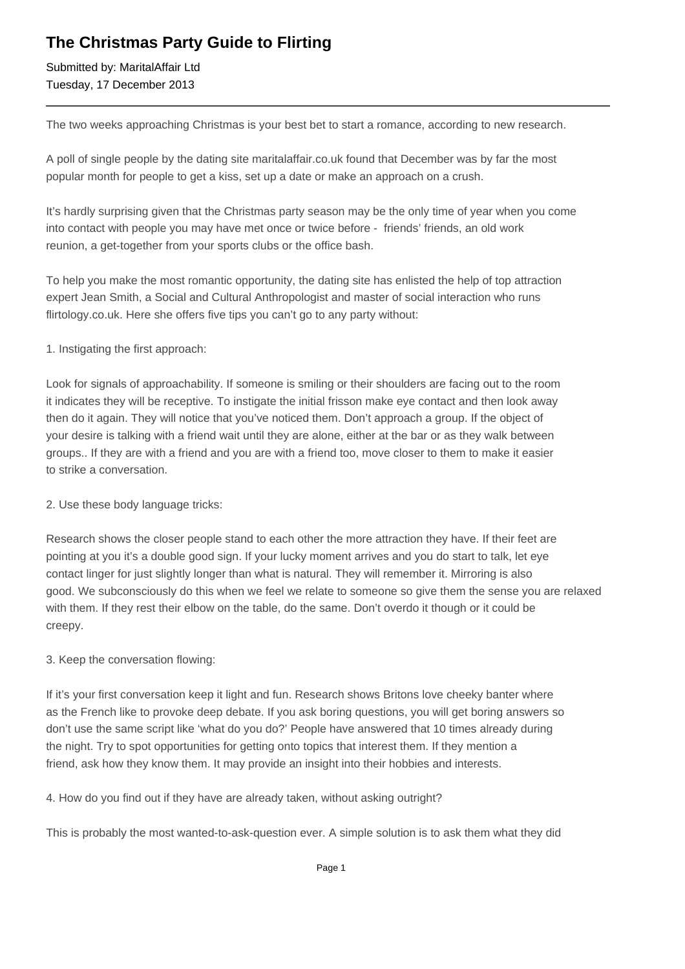## **The Christmas Party Guide to Flirting**

Submitted by: MaritalAffair Ltd Tuesday, 17 December 2013

The two weeks approaching Christmas is your best bet to start a romance, according to new research.

A poll of single people by the dating site maritalaffair.co.uk found that December was by far the most popular month for people to get a kiss, set up a date or make an approach on a crush.

It's hardly surprising given that the Christmas party season may be the only time of year when you come into contact with people you may have met once or twice before - friends' friends, an old work reunion, a get-together from your sports clubs or the office bash.

To help you make the most romantic opportunity, the dating site has enlisted the help of top attraction expert Jean Smith, a Social and Cultural Anthropologist and master of social interaction who runs flirtology.co.uk. Here she offers five tips you can't go to any party without:

1. Instigating the first approach:

Look for signals of approachability. If someone is smiling or their shoulders are facing out to the room it indicates they will be receptive. To instigate the initial frisson make eye contact and then look away then do it again. They will notice that you've noticed them. Don't approach a group. If the object of your desire is talking with a friend wait until they are alone, either at the bar or as they walk between groups.. If they are with a friend and you are with a friend too, move closer to them to make it easier to strike a conversation.

2. Use these body language tricks:

Research shows the closer people stand to each other the more attraction they have. If their feet are pointing at you it's a double good sign. If your lucky moment arrives and you do start to talk, let eye contact linger for just slightly longer than what is natural. They will remember it. Mirroring is also good. We subconsciously do this when we feel we relate to someone so give them the sense you are relaxed with them. If they rest their elbow on the table, do the same. Don't overdo it though or it could be creepy.

3. Keep the conversation flowing:

If it's your first conversation keep it light and fun. Research shows Britons love cheeky banter where as the French like to provoke deep debate. If you ask boring questions, you will get boring answers so don't use the same script like 'what do you do?' People have answered that 10 times already during the night. Try to spot opportunities for getting onto topics that interest them. If they mention a friend, ask how they know them. It may provide an insight into their hobbies and interests.

4. How do you find out if they have are already taken, without asking outright?

This is probably the most wanted-to-ask-question ever. A simple solution is to ask them what they did